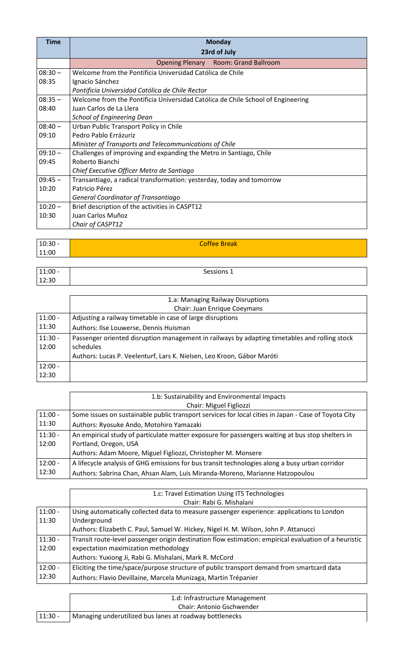| <b>Time</b> | <b>Monday</b>                                                                   |
|-------------|---------------------------------------------------------------------------------|
|             | 23rd of July                                                                    |
|             | <b>Opening Plenary Room: Grand Ballroom</b>                                     |
| $08:30 -$   | Welcome from the Pontificia Universidad Católica de Chile                       |
| 08:35       | Ignacio Sánchez                                                                 |
|             | Pontificia Universidad Católica de Chile Rector                                 |
| $08:35 -$   | Welcome from the Pontificia Universidad Católica de Chile School of Engineering |
| 08:40       | Juan Carlos de La Llera                                                         |
|             | <b>School of Engineering Dean</b>                                               |
| $08:40 -$   | Urban Public Transport Policy in Chile                                          |
| 09:10       | Pedro Pablo Errázuriz                                                           |
|             | Minister of Transports and Telecommunications of Chile                          |
| $09:10 -$   | Challenges of improving and expanding the Metro in Santiago, Chile              |
| 09:45       | Roberto Bianchi                                                                 |
|             | Chief Executive Officer Metro de Santiago                                       |
| $09:45 -$   | Transantiago, a radical transformation: yesterday, today and tomorrow           |
| 10:20       | Patricio Pérez                                                                  |
|             | <b>General Coordinator of Transantiago</b>                                      |
| $10:20 -$   | Brief description of the activities in CASPT12                                  |
| 10:30       | Juan Carlos Muñoz                                                               |
|             | Chair of CASPT12                                                                |

| $10:30 -$ | <b>Coffee Break</b> |
|-----------|---------------------|
| 11:00     |                     |

| $11:00 -$ | $\cdots$<br>∼<br>ב כוול |
|-----------|-------------------------|
| 12:30     |                         |

|           | 1.a: Managing Railway Disruptions                                                             |
|-----------|-----------------------------------------------------------------------------------------------|
|           | Chair: Juan Enrique Coeymans                                                                  |
| $11:00 -$ | Adjusting a railway timetable in case of large disruptions                                    |
| 11:30     | Authors: Ilse Louwerse, Dennis Huisman                                                        |
| $11:30 -$ | Passenger oriented disruption management in railways by adapting timetables and rolling stock |
| 12:00     | schedules                                                                                     |
|           | Authors: Lucas P. Veelenturf, Lars K. Nielsen, Leo Kroon, Gábor Maróti                        |
| $12:00 -$ |                                                                                               |
| 12:30     |                                                                                               |

|           | 1.b: Sustainability and Environmental Impacts                                                        |
|-----------|------------------------------------------------------------------------------------------------------|
|           | Chair: Miguel Figliozzi                                                                              |
| $11:00 -$ | Some issues on sustainable public transport services for local cities in Japan - Case of Toyota City |
| 11:30     | Authors: Ryosuke Ando, Motohiro Yamazaki                                                             |
| $11:30 -$ | An empirical study of particulate matter exposure for passengers waiting at bus stop shelters in     |
| 12:00     | Portland, Oregon, USA                                                                                |
|           | Authors: Adam Moore, Miguel Figliozzi, Christopher M. Monsere                                        |
| $12:00 -$ | A lifecycle analysis of GHG emissions for bus transit technologies along a busy urban corridor       |
| 12:30     | Authors: Sabrina Chan, Ahsan Alam, Luis Miranda-Moreno, Marianne Hatzopoulou                         |

|           | 1.c: Travel Estimation Using ITS Technologies                                                         |
|-----------|-------------------------------------------------------------------------------------------------------|
|           | Chair: Rabi G. Mishalani                                                                              |
| $11:00 -$ | Using automatically collected data to measure passenger experience: applications to London            |
| 11:30     | Underground                                                                                           |
|           | Authors: Elizabeth C. Paul, Samuel W. Hickey, Nigel H. M. Wilson, John P. Attanucci                   |
| $11:30 -$ | Transit route-level passenger origin destination flow estimation: empirical evaluation of a heuristic |
| 12:00     | expectation maximization methodology                                                                  |
|           | Authors: Yuxiong Ji, Rabi G. Mishalani, Mark R. McCord                                                |
| $12:00 -$ | Eliciting the time/space/purpose structure of public transport demand from smartcard data             |
| 12:30     | Authors: Flavio Devillaine, Marcela Munizaga, Martin Trépanier                                        |

|           | 1.d: Infrastructure Management                          |
|-----------|---------------------------------------------------------|
|           | <b>Chair: Antonio Gschwender</b>                        |
| $11:30 -$ | Managing underutilized bus lanes at roadway bottlenecks |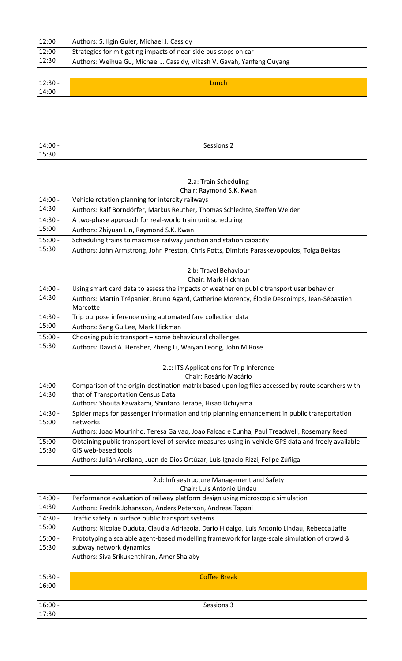| 12:00     | Authors: S. Ilgin Guler, Michael J. Cassidy                             |
|-----------|-------------------------------------------------------------------------|
| $12:00 -$ | Strategies for mitigating impacts of near-side bus stops on car         |
| 12:30     | Authors: Weihua Gu, Michael J. Cassidy, Vikash V. Gayah, Yanfeng Ouyang |

| $12:30 -$ | ما مصدر<br>Lunch |
|-----------|------------------|
| 14:00     |                  |

| 14:00 - | $\sim$ $\sim$ $\sim$<br>ะi∩ns |
|---------|-------------------------------|
| 15:30   |                               |

|           | 2.a: Train Scheduling                                                                      |
|-----------|--------------------------------------------------------------------------------------------|
|           | Chair: Raymond S.K. Kwan                                                                   |
| $14:00 -$ | Vehicle rotation planning for intercity railways                                           |
| 14:30     | Authors: Ralf Borndörfer, Markus Reuther, Thomas Schlechte, Steffen Weider                 |
| $14:30 -$ | A two-phase approach for real-world train unit scheduling                                  |
| 15:00     | Authors: Zhiyuan Lin, Raymond S.K. Kwan                                                    |
| $15:00 -$ | Scheduling trains to maximise railway junction and station capacity                        |
| 15:30     | Authors: John Armstrong, John Preston, Chris Potts, Dimitris Paraskevopoulos, Tolga Bektas |

|           | 2.b: Travel Behaviour                                                                       |
|-----------|---------------------------------------------------------------------------------------------|
|           | Chair: Mark Hickman                                                                         |
| $14:00 -$ | Using smart card data to assess the impacts of weather on public transport user behavior    |
| 14:30     | Authors: Martin Trépanier, Bruno Agard, Catherine Morency, Élodie Descoimps, Jean-Sébastien |
|           | Marcotte                                                                                    |
| $14:30 -$ | Trip purpose inference using automated fare collection data                                 |
| 15:00     | Authors: Sang Gu Lee, Mark Hickman                                                          |
| $15:00 -$ | Choosing public transport - some behavioural challenges                                     |
| 15:30     | Authors: David A. Hensher, Zheng Li, Waiyan Leong, John M Rose                              |

|           | 2.c: ITS Applications for Trip Inference                                                            |
|-----------|-----------------------------------------------------------------------------------------------------|
|           | Chair: Rosário Macário                                                                              |
| $14:00 -$ | Comparison of the origin-destination matrix based upon log files accessed by route searchers with   |
| 14:30     | that of Transportation Census Data                                                                  |
|           | Authors: Shouta Kawakami, Shintaro Terabe, Hisao Uchiyama                                           |
| $14:30 -$ | Spider maps for passenger information and trip planning enhancement in public transportation        |
| 15:00     | networks                                                                                            |
|           | Authors: Joao Mourinho, Teresa Galvao, Joao Falcao e Cunha, Paul Treadwell, Rosemary Reed           |
| $15:00 -$ | Obtaining public transport level-of-service measures using in-vehicle GPS data and freely available |
| 15:30     | GIS web-based tools                                                                                 |
|           | Authors: Julián Arellana, Juan de Dios Ortúzar, Luis Ignacio Rizzi, Felipe Zúñiga                   |

|           | 2.d: Infraestructure Management and Safety                                                    |
|-----------|-----------------------------------------------------------------------------------------------|
|           | Chair: Luis Antonio Lindau                                                                    |
| $14:00 -$ | Performance evaluation of railway platform design using microscopic simulation                |
| 14:30     | Authors: Fredrik Johansson, Anders Peterson, Andreas Tapani                                   |
| $14:30 -$ | Traffic safety in surface public transport systems                                            |
| 15:00     | Authors: Nicolae Duduta, Claudia Adriazola, Dario Hidalgo, Luis Antonio Lindau, Rebecca Jaffe |
| $15:00 -$ | Prototyping a scalable agent-based modelling framework for large-scale simulation of crowd &  |
| 15:30     | subway network dynamics                                                                       |
|           | Authors: Siva Srikukenthiran, Amer Shalaby                                                    |

| $15:30 - 16:00$ | <b>Coffee Break</b> |
|-----------------|---------------------|
|                 |                     |
| $16:00 -$       | Sessions 3          |

17:30

 $\overline{\phantom{a}}$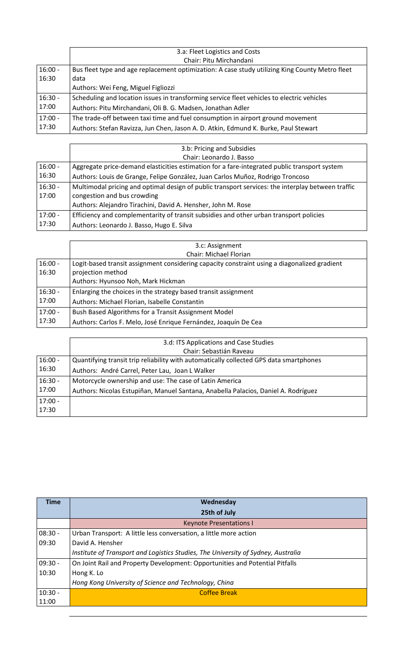|           | 3.a: Fleet Logistics and Costs                                                                  |
|-----------|-------------------------------------------------------------------------------------------------|
|           | Chair: Pitu Mirchandani                                                                         |
| $16:00 -$ | Bus fleet type and age replacement optimization: A case study utilizing King County Metro fleet |
| 16:30     | data                                                                                            |
|           | Authors: Wei Feng, Miguel Figliozzi                                                             |
| $16:30 -$ | Scheduling and location issues in transforming service fleet vehicles to electric vehicles      |
| 17:00     | Authors: Pitu Mirchandani, Oli B. G. Madsen, Jonathan Adler                                     |
| $17:00 -$ | The trade-off between taxi time and fuel consumption in airport ground movement                 |
| 17:30     | Authors: Stefan Ravizza, Jun Chen, Jason A. D. Atkin, Edmund K. Burke, Paul Stewart             |

|           | 3.b: Pricing and Subsidies                                                                        |
|-----------|---------------------------------------------------------------------------------------------------|
|           | Chair: Leonardo J. Basso                                                                          |
| $16:00 -$ | Aggregate price-demand elasticities estimation for a fare-integrated public transport system      |
| 16:30     | Authors: Louis de Grange, Felipe González, Juan Carlos Muñoz, Rodrigo Troncoso                    |
| $16:30 -$ | Multimodal pricing and optimal design of public transport services: the interplay between traffic |
| 17:00     | congestion and bus crowding                                                                       |
|           | Authors: Alejandro Tirachini, David A. Hensher, John M. Rose                                      |
| $17:00 -$ | Efficiency and complementarity of transit subsidies and other urban transport policies            |
| 17:30     | Authors: Leonardo J. Basso, Hugo E. Silva                                                         |

|           | 3.c: Assignment                                                                              |
|-----------|----------------------------------------------------------------------------------------------|
|           | <b>Chair: Michael Florian</b>                                                                |
| $16:00 -$ | Logit-based transit assignment considering capacity constraint using a diagonalized gradient |
| 16:30     | projection method                                                                            |
|           | Authors: Hyunsoo Noh, Mark Hickman                                                           |
| $16:30 -$ | Enlarging the choices in the strategy based transit assignment                               |
| 17:00     | Authors: Michael Florian, Isabelle Constantin                                                |
| $17:00 -$ | Bush Based Algorithms for a Transit Assignment Model                                         |
| 17:30     | Authors: Carlos F. Melo, José Enrique Fernández, Joaquín De Cea                              |

|           | 3.d: ITS Applications and Case Studies                                                 |
|-----------|----------------------------------------------------------------------------------------|
|           | Chair: Sebastián Raveau                                                                |
| $16:00 -$ | Quantifying transit trip reliability with automatically collected GPS data smartphones |
| 16:30     | Authors: André Carrel, Peter Lau, Joan L Walker                                        |
| $16:30 -$ | Motorcycle ownership and use: The case of Latin America                                |
| 17:00     | Authors: Nicolas Estupiñan, Manuel Santana, Anabella Palacios, Daniel A. Rodríguez     |
| $17:00 -$ |                                                                                        |
| 17:30     |                                                                                        |

| <b>Time</b> | Wednesday                                                                         |
|-------------|-----------------------------------------------------------------------------------|
|             | 25th of July                                                                      |
|             | <b>Keynote Presentations I</b>                                                    |
| $08:30 -$   | Urban Transport: A little less conversation, a little more action                 |
| 09:30       | David A. Hensher                                                                  |
|             | Institute of Transport and Logistics Studies, The University of Sydney, Australia |
| $09:30 -$   | On Joint Rail and Property Development: Opportunities and Potential Pitfalls      |
| 10:30       | Hong K. Lo                                                                        |
|             | Hong Kong University of Science and Technology, China                             |
| $10:30 -$   | <b>Coffee Break</b>                                                               |
| 11:00       |                                                                                   |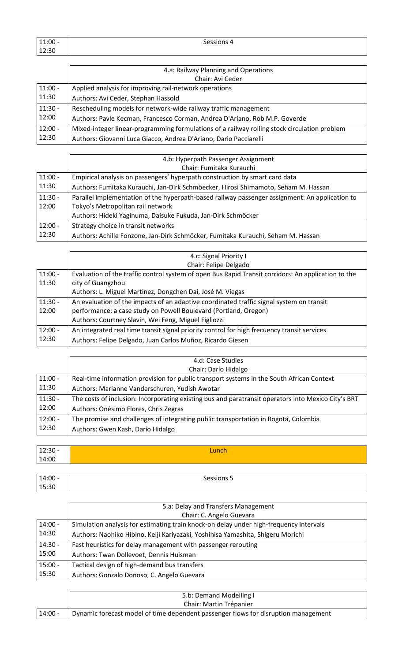11:00 - 12:30 Sessions 4

|           | 4.a: Railway Planning and Operations<br>Chair: Avi Ceder                                     |
|-----------|----------------------------------------------------------------------------------------------|
|           |                                                                                              |
| $11:00 -$ | Applied analysis for improving rail-network operations                                       |
| 11:30     | Authors: Avi Ceder, Stephan Hassold                                                          |
| $11:30 -$ | Rescheduling models for network-wide railway traffic management                              |
| 12:00     | Authors: Pavle Kecman, Francesco Corman, Andrea D'Ariano, Rob M.P. Goverde                   |
| $12:00 -$ | Mixed-integer linear-programming formulations of a railway rolling stock circulation problem |
| 12:30     | Authors: Giovanni Luca Giacco, Andrea D'Ariano, Dario Pacciarelli                            |

|           | 4.b: Hyperpath Passenger Assignment                                                            |
|-----------|------------------------------------------------------------------------------------------------|
|           | Chair: Fumitaka Kurauchi                                                                       |
| $11:00 -$ | Empirical analysis on passengers' hyperpath construction by smart card data                    |
| 11:30     | Authors: Fumitaka Kurauchi, Jan-Dirk Schmöecker, Hirosi Shimamoto, Seham M. Hassan             |
| $11:30 -$ | Parallel implementation of the hyperpath-based railway passenger assignment: An application to |
| 12:00     | Tokyo's Metropolitan rail network                                                              |
|           | Authors: Hideki Yaginuma, Daisuke Fukuda, Jan-Dirk Schmöcker                                   |
| $12:00 -$ | Strategy choice in transit networks                                                            |
| 12:30     | Authors: Achille Fonzone, Jan-Dirk Schmöcker, Fumitaka Kurauchi, Seham M. Hassan               |

|           | 4.c: Signal Priority I                                                                              |
|-----------|-----------------------------------------------------------------------------------------------------|
|           | Chair: Felipe Delgado                                                                               |
| $11:00 -$ | Evaluation of the traffic control system of open Bus Rapid Transit corridors: An application to the |
| 11:30     | city of Guangzhou<br>Authors: L. Miguel Martinez, Dongchen Dai, José M. Viegas                      |
|           |                                                                                                     |
| $11:30 -$ | An evaluation of the impacts of an adaptive coordinated traffic signal system on transit            |
| 12:00     | performance: a case study on Powell Boulevard (Portland, Oregon)                                    |
|           | Authors: Courtney Slavin, Wei Feng, Miguel Figliozzi                                                |
| $12:00 -$ | An integrated real time transit signal priority control for high frecuency transit services         |
| 12:30     | Authors: Felipe Delgado, Juan Carlos Muñoz, Ricardo Giesen                                          |

|           | 4.d: Case Studies                                                                                   |
|-----------|-----------------------------------------------------------------------------------------------------|
|           | Chair: Darío Hidalgo                                                                                |
| $11:00 -$ | Real-time information provision for public transport systems in the South African Context           |
| 11:30     | Authors: Marianne Vanderschuren, Yudish Awotar                                                      |
| $11:30 -$ | The costs of inclusion: Incorporating existing bus and paratransit operators into Mexico City's BRT |
| 12:00     | Authors: Onésimo Flores, Chris Zegras                                                               |
| $12:00 -$ | The promise and challenges of integrating public transportation in Bogotá, Colombia                 |
| 12:30     | Authors: Gwen Kash, Darío Hidalgo                                                                   |

| $12:30 -$ | Lunch |
|-----------|-------|
| 14:00     |       |

| $14:00 -$                               | sessions<br>כ ions |
|-----------------------------------------|--------------------|
| חכי<br>1 <sub>E</sub><br>. L .<br>13.JU |                    |

|           | 5.a: Delay and Transfers Management                                                    |
|-----------|----------------------------------------------------------------------------------------|
|           | Chair: C. Angelo Guevara                                                               |
| $14:00 -$ | Simulation analysis for estimating train knock-on delay under high-frequency intervals |
| 14:30     | Authors: Naohiko Hibino, Keiji Kariyazaki, Yoshihisa Yamashita, Shigeru Morichi        |
| $14:30 -$ | Fast heuristics for delay management with passenger rerouting                          |
| 15:00     | Authors: Twan Dollevoet, Dennis Huisman                                                |
| $15:00 -$ | Tactical design of high-demand bus transfers                                           |
| 15:30     | Authors: Gonzalo Donoso, C. Angelo Guevara                                             |

|           | 5.b: Demand Modelling I                                                            |
|-----------|------------------------------------------------------------------------------------|
|           | Chair: Martin Trépanier                                                            |
| $14:00 -$ | Dynamic forecast model of time dependent passenger flows for disruption management |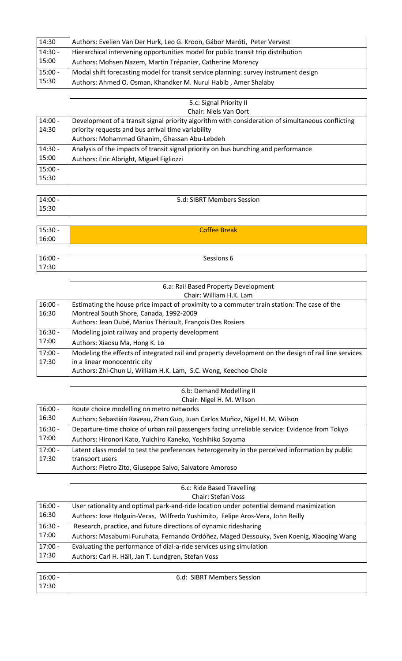| 14:30     | Authors: Evelien Van Der Hurk, Leo G. Kroon, Gábor Maróti, Peter Vervest             |
|-----------|--------------------------------------------------------------------------------------|
| $14:30 -$ | Hierarchical intervening opportunities model for public transit trip distribution    |
| 15:00     | Authors: Mohsen Nazem, Martin Trépanier, Catherine Morency                           |
| $15:00 -$ | Modal shift forecasting model for transit service planning: survey instrument design |
| 15:30     | Authors: Ahmed O. Osman, Khandker M. Nurul Habib, Amer Shalaby                       |

|           | 5.c: Signal Priority II                                                                           |
|-----------|---------------------------------------------------------------------------------------------------|
|           | Chair: Niels Van Oort                                                                             |
| $14:00 -$ | Development of a transit signal priority algorithm with consideration of simultaneous conflicting |
| 14:30     | priority requests and bus arrival time variability                                                |
|           | Authors: Mohammad Ghanim, Ghassan Abu-Lebdeh                                                      |
| $14:30 -$ | Analysis of the impacts of transit signal priority on bus bunching and performance                |
| 15:00     | Authors: Eric Albright, Miguel Figliozzi                                                          |
| $15:00 -$ |                                                                                                   |
| 15:30     |                                                                                                   |

| $14:00 -$ | 5.d: SIBRT Members Session |
|-----------|----------------------------|
| 15:30     |                            |

| $15:30 -$ | <b>Coffee Break</b> |
|-----------|---------------------|
| 16:00     |                     |

| $16:00 -$      | -<br>$    -$<br>ס כווטוכי<br>ں ب |
|----------------|----------------------------------|
| 17.20<br>17.30 |                                  |

|           | 6.a: Rail Based Property Development                                                                 |
|-----------|------------------------------------------------------------------------------------------------------|
|           | Chair: William H.K. Lam                                                                              |
| $16:00 -$ | Estimating the house price impact of proximity to a commuter train station: The case of the          |
| 16:30     | Montreal South Shore, Canada, 1992-2009                                                              |
|           | Authors: Jean Dubé, Marius Thériault, François Des Rosiers                                           |
| $16:30 -$ | Modeling joint railway and property development                                                      |
| 17:00     | Authors: Xiaosu Ma, Hong K. Lo                                                                       |
| $17:00 -$ | Modeling the effects of integrated rail and property development on the design of rail line services |
| 17:30     | in a linear monocentric city                                                                         |
|           | Authors: Zhi-Chun Li, William H.K. Lam, S.C. Wong, Keechoo Choie                                     |

|           | 6.b: Demand Modelling II                                                                        |
|-----------|-------------------------------------------------------------------------------------------------|
|           | Chair: Nigel H. M. Wilson                                                                       |
| $16:00 -$ | Route choice modelling on metro networks                                                        |
| 16:30     | Authors: Sebastián Raveau, Zhan Guo, Juan Carlos Muñoz, Nigel H. M. Wilson                      |
| $16:30 -$ | Departure-time choice of urban rail passengers facing unreliable service: Evidence from Tokyo   |
| 17:00     | Authors: Hironori Kato, Yuichiro Kaneko, Yoshihiko Soyama                                       |
| $17:00 -$ | Latent class model to test the preferences heterogeneity in the perceived information by public |
| 17:30     | transport users                                                                                 |
|           | Authors: Pietro Zito, Giuseppe Salvo, Salvatore Amoroso                                         |

|           | 6.c: Ride Based Travelling                                                               |
|-----------|------------------------------------------------------------------------------------------|
|           | <b>Chair: Stefan Voss</b>                                                                |
| $16:00 -$ | User rationality and optimal park-and-ride location under potential demand maximization  |
| 16:30     | Authors: Jose Holguin-Veras, Wilfredo Yushimito, Felipe Aros-Vera, John Reilly           |
| $16:30 -$ | Research, practice, and future directions of dynamic ridesharing                         |
| 17:00     | Authors: Masabumi Furuhata, Fernando Ordóñez, Maged Dessouky, Sven Koenig, Xiaoqing Wang |
| $17:00 -$ | Evaluating the performance of dial-a-ride services using simulation                      |
| 17:30     | Authors: Carl H. Häll, Jan T. Lundgren, Stefan Voss                                      |

| $16:00 -$ | <b>SIBRT Members Session</b><br>6.d: |
|-----------|--------------------------------------|
| 17:30     |                                      |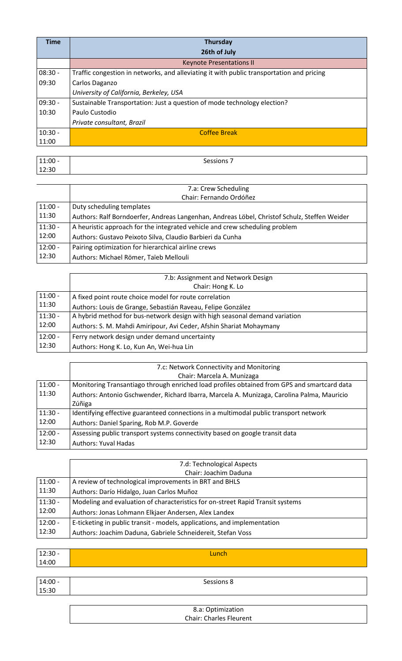| Time      | <b>Thursday</b>                                                                           |
|-----------|-------------------------------------------------------------------------------------------|
|           | 26th of July                                                                              |
|           | <b>Keynote Presentations II</b>                                                           |
| $08:30 -$ | Traffic congestion in networks, and alleviating it with public transportation and pricing |
| 09:30     | Carlos Daganzo                                                                            |
|           | University of California, Berkeley, USA                                                   |
| $09:30 -$ | Sustainable Transportation: Just a question of mode technology election?                  |
| 10:30     | Paulo Custodio                                                                            |
|           | Private consultant, Brazil                                                                |
| $10:30 -$ | <b>Coffee Break</b>                                                                       |
| 11:00     |                                                                                           |

| 11:00        | Consider 7<br>uns. |
|--------------|--------------------|
| -11<br>14.JU |                    |

|           | 7.a: Crew Scheduling                                                                         |
|-----------|----------------------------------------------------------------------------------------------|
|           | Chair: Fernando Ordóñez                                                                      |
| $11:00 -$ | Duty scheduling templates                                                                    |
| 11:30     | Authors: Ralf Borndoerfer, Andreas Langenhan, Andreas Löbel, Christof Schulz, Steffen Weider |
| $11:30 -$ | A heuristic approach for the integrated vehicle and crew scheduling problem                  |
| 12:00     | Authors: Gustavo Peixoto Silva, Claudio Barbieri da Cunha                                    |
| $12:00 -$ | Pairing optimization for hierarchical airline crews                                          |
| 12:30     | Authors: Michael Römer, Taïeb Mellouli                                                       |

|           | 7.b: Assignment and Network Design                                         |
|-----------|----------------------------------------------------------------------------|
|           | Chair: Hong K. Lo                                                          |
| $11:00 -$ | A fixed point route choice model for route correlation                     |
| 11:30     | Authors: Louis de Grange, Sebastián Raveau, Felipe González                |
| $11:30 -$ | A hybrid method for bus-network design with high seasonal demand variation |
| 12:00     | Authors: S. M. Mahdi Amiripour, Avi Ceder, Afshin Shariat Mohaymany        |
| $12:00 -$ | Ferry network design under demand uncertainty                              |
| 12:30     | Authors: Hong K. Lo, Kun An, Wei-hua Lin                                   |

|           | 7.c: Network Connectivity and Monitoring                                                    |
|-----------|---------------------------------------------------------------------------------------------|
|           | Chair: Marcela A. Munizaga                                                                  |
| $11:00 -$ | Monitoring Transantiago through enriched load profiles obtained from GPS and smartcard data |
| 11:30     | Authors: Antonio Gschwender, Richard Ibarra, Marcela A. Munizaga, Carolina Palma, Mauricio  |
|           | Zúñiga                                                                                      |
| $11:30 -$ | Identifying effective guaranteed connections in a multimodal public transport network       |
| 12:00     | Authors: Daniel Sparing, Rob M.P. Goverde                                                   |
| $12:00 -$ | Assessing public transport systems connectivity based on google transit data                |
| 12:30     | <b>Authors: Yuval Hadas</b>                                                                 |

|           | 7.d: Technological Aspects                                                     |
|-----------|--------------------------------------------------------------------------------|
|           | Chair: Joachim Daduna                                                          |
| $11:00 -$ | A review of technological improvements in BRT and BHLS                         |
| 11:30     | Authors: Darío Hidalgo, Juan Carlos Muñoz                                      |
| $11:30 -$ | Modeling and evaluation of characteristics for on-street Rapid Transit systems |
| 12:00     | Authors: Jonas Lohmann Elkjaer Andersen, Alex Landex                           |
| $12:00 -$ | E-ticketing in public transit - models, applications, and implementation       |
| 12:30     | Authors: Joachim Daduna, Gabriele Schneidereit, Stefan Voss                    |

| $12:30 -$ | Lunch |
|-----------|-------|
| 14:00     |       |
|           |       |

| $14:00 -$ | Sessions 8        |
|-----------|-------------------|
| 15:30     |                   |
|           |                   |
|           | 8.a: Optimization |

Chair: Charles Fleurent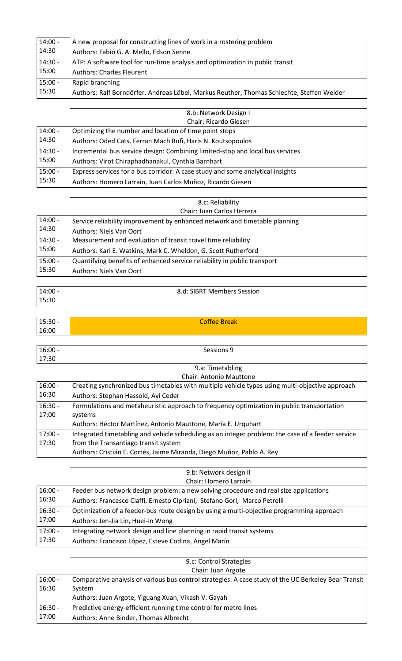| $14:00 -$<br>14:30 | A new proposal for constructing lines of work in a rostering problem<br>Authors: Fabio G. A. Mello, Edson Senne |
|--------------------|-----------------------------------------------------------------------------------------------------------------|
| $14:30 -$          | ATP: A software tool for run-time analysis and optimization in public transit                                   |
| 15:00              | <b>Authors: Charles Fleurent</b>                                                                                |
| $15:00 -$          | Rapid branching                                                                                                 |
| 15:30              | Authors: Ralf Borndörfer, Andreas Löbel, Markus Reuther, Thomas Schlechte, Steffen Weider                       |

|           | 8.b: Network Design I                                                          |
|-----------|--------------------------------------------------------------------------------|
|           | Chair: Ricardo Giesen                                                          |
| $14:00 -$ | Optimizing the number and location of time point stops                         |
| 14:30     | Authors: Oded Cats, Ferran Mach Rufi, Haris N. Koutsopoulos                    |
| $14:30 -$ | Incremental bus service design: Combining limited-stop and local bus services  |
| 15:00     | Authors: Virot Chiraphadhanakul, Cynthia Barnhart                              |
| $15:00 -$ | Express services for a bus corridor: A case study and some analytical insights |
| 15:30     | Authors: Homero Larrain, Juan Carlos Muñoz, Ricardo Giesen                     |

|           | 8.c: Reliability                                                           |
|-----------|----------------------------------------------------------------------------|
|           | Chair: Juan Carlos Herrera                                                 |
| $14:00 -$ | Service reliability improvement by enhanced network and timetable planning |
| 14:30     | Authors: Niels Van Oort                                                    |
| $14:30 -$ | Measurement and evaluation of transit travel time reliability              |
| 15:00     | Authors: Kari E. Watkins, Mark C. Wheldon, G. Scott Rutherford             |
| $15:00 -$ | Quantifying benefits of enhanced service reliability in public transport   |
| 15:30     | Authors: Niels Van Oort                                                    |

| $14:00 -$ | 8.d: SIBRT Members Session |
|-----------|----------------------------|
| 15:30     |                            |

| $15:30 -$ | <b>Coffee Break</b> |
|-----------|---------------------|
| 16:00     |                     |

| $16:00 -$ | Sessions 9                                                                                        |
|-----------|---------------------------------------------------------------------------------------------------|
| 17:30     |                                                                                                   |
|           | 9.a: Timetabling                                                                                  |
|           | <b>Chair: Antonio Mauttone</b>                                                                    |
| $16:00 -$ | Creating synchronized bus timetables with multiple vehicle types using multi-objective approach   |
| 16:30     | Authors: Stephan Hassold, Avi Ceder                                                               |
| $16:30 -$ | Formulations and metaheuristic approach to frequency optimization in public transportation        |
| 17:00     | systems                                                                                           |
|           | Authors: Héctor Martínez, Antonio Mauttone, María E. Urquhart                                     |
| $17:00 -$ | Integrated timetabling and vehicle scheduling as an integer problem: the case of a feeder service |
| 17:30     | from the Transantiago transit system                                                              |
|           | Authors: Cristián E. Cortés, Jaime Miranda, Diego Muñoz, Pablo A. Rey                             |

|           | 9.b: Network design II                                                                    |
|-----------|-------------------------------------------------------------------------------------------|
|           | Chair: Homero Larraín                                                                     |
| $16:00 -$ | Feeder bus network design problem: a new solving procedure and real size applications     |
| 16:30     | Authors: Francesco Ciaffi, Ernesto Cipriani, Stefano Gori, Marco Petrelli                 |
| $16:30 -$ | Optimization of a feeder-bus route design by using a multi-objective programming approach |
| 17:00     | Authors: Jen-Jia Lin, Huei-In Wong                                                        |
| $17:00 -$ | Integrating network design and line planning in rapid transit systems                     |
| 17:30     | Authors: Francisco López, Esteve Codina, Angel Marín                                      |

|           | 9.c: Control Strategies                                                                              |
|-----------|------------------------------------------------------------------------------------------------------|
|           | Chair: Juan Argote                                                                                   |
| $16:00 -$ | Comparative analysis of various bus control strategies: A case study of the UC Berkeley Bear Transit |
| 16:30     | System                                                                                               |
|           | Authors: Juan Argote, Yiguang Xuan, Vikash V. Gayah                                                  |
| $16:30 -$ | Predictive energy-efficient running time control for metro lines                                     |
| 17:00     | Authors: Anne Binder, Thomas Albrecht                                                                |